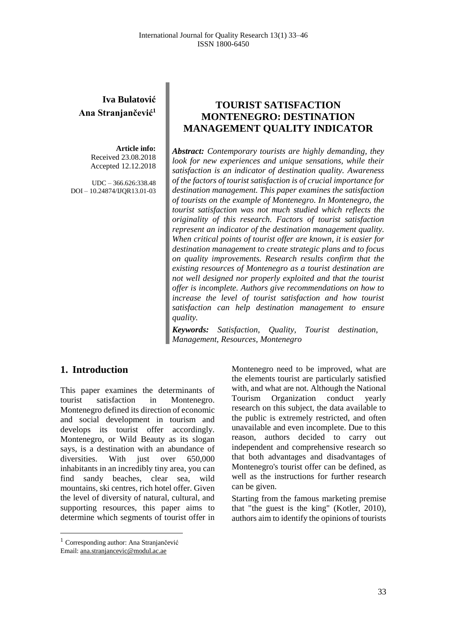# **Iva Bulatović Ana Stranjančević<sup>1</sup>**

**Article info:** Received 23.08.2018 Accepted 12.12.2018

UDC – 366.626:338.48 DOI – 10.24874/IJQR13.01-03

## **TOURIST SATISFACTION MONTENEGRO: DESTINATION MANAGEMENT QUALITY INDICATOR**

*Abstract: Contemporary tourists are highly demanding, they look for new experiences and unique sensations, while their satisfaction is an indicator of destination quality. Awareness of the factors of tourist satisfaction is of crucial importance for destination management. This paper examines the satisfaction of tourists on the example of Montenegro. In Montenegro, the tourist satisfaction was not much studied which reflects the originality of this research. Factors of tourist satisfaction represent an indicator of the destination management quality. When critical points of tourist offer are known, it is easier for destination management to create strategic plans and to focus on quality improvements. Research results confirm that the existing resources of Montenegro as a tourist destination are not well designed nor properly exploited and that the tourist offer is incomplete. Authors give recommendations on how to increase the level of tourist satisfaction and how tourist satisfaction can help destination management to ensure quality.*

*Keywords: Satisfaction, Quality, Tourist destination, Management, Resources, Montenegro*

#### **1. Introduction**

This paper examines the determinants of tourist satisfaction in Montenegro. Montenegro defined its direction of economic and social development in tourism and develops its tourist offer accordingly. Montenegro, or Wild Beauty as its slogan says, is a destination with an abundance of diversities. With just over 650,000 inhabitants in an incredibly tiny area, you can find sandy beaches, clear sea, wild mountains, ski centres, rich hotel offer. Given the level of diversity of natural, cultural, and supporting resources, this paper aims to determine which segments of tourist offer in

Montenegro need to be improved, what are the elements tourist are particularly satisfied with, and what are not. Although the National Tourism Organization conduct yearly research on this subject, the data available to the public is extremely restricted, and often unavailable and even incomplete. Due to this reason, authors decided to carry out independent and comprehensive research so that both advantages and disadvantages of Montenegro's tourist offer can be defined, as well as the instructions for further research can be given.

Starting from the famous marketing premise that "the guest is the king" (Kotler, 2010), authors aim to identify the opinions of tourists

 $\overline{a}$ 

<sup>1</sup> Corresponding author: Ana Stranjančević Email: ana.stranjancevic@modul.ac.ae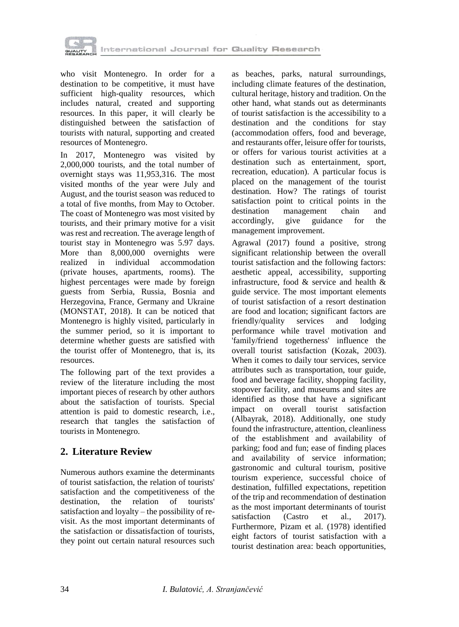

who visit Montenegro. In order for a destination to be competitive, it must have sufficient high-quality resources, which includes natural, created and supporting resources. In this paper, it will clearly be distinguished between the satisfaction of tourists with natural, supporting and created resources of Montenegro.

In 2017, Montenegro was visited by 2,000,000 tourists, and the total number of overnight stays was 11,953,316. The most visited months of the year were July and August, and the tourist season was reduced to a total of five months, from May to October. The coast of Montenegro was most visited by tourists, and their primary motive for a visit was rest and recreation. The average length of tourist stay in Montenegro was 5.97 days. More than 8,000,000 overnights were realized in individual accommodation (private houses, apartments, rooms). The highest percentages were made by foreign guests from Serbia, Russia, Bosnia and Herzegovina, France, Germany and Ukraine (MONSTAT, 2018). It can be noticed that Montenegro is highly visited, particularly in the summer period, so it is important to determine whether guests are satisfied with the tourist offer of Montenegro, that is, its resources.

The following part of the text provides a review of the literature including the most important pieces of research by other authors about the satisfaction of tourists. Special attention is paid to domestic research, i.e., research that tangles the satisfaction of tourists in Montenegro.

## **2. Literature Review**

Numerous authors examine the determinants of tourist satisfaction, the relation of tourists' satisfaction and the competitiveness of the destination, the relation of tourists' satisfaction and loyalty – the possibility of revisit. As the most important determinants of the satisfaction or dissatisfaction of tourists, they point out certain natural resources such

as beaches, parks, natural surroundings, including climate features of the destination, cultural heritage, history and tradition. On the other hand, what stands out as determinants of tourist satisfaction is the accessibility to a destination and the conditions for stay (accommodation offers, food and beverage, and restaurants offer, leisure offer for tourists, or offers for various tourist activities at a destination such as entertainment, sport, recreation, education). A particular focus is placed on the management of the tourist destination. How? The ratings of tourist satisfaction point to critical points in the destination management chain and<br>accordingly, give guidance for the accordingly, give guidance management improvement.

Agrawal (2017) found a positive, strong significant relationship between the overall tourist satisfaction and the following factors: aesthetic appeal, accessibility, supporting infrastructure, food & service and health & guide service. The most important elements of tourist satisfaction of a resort destination are food and location; significant factors are friendly/quality services and lodging performance while travel motivation and 'family/friend togetherness' influence the overall tourist satisfaction (Kozak, 2003). When it comes to daily tour services, service attributes such as transportation, tour guide, food and beverage facility, shopping facility, stopover facility, and museums and sites are identified as those that have a significant impact on overall tourist satisfaction (Albayrak, 2018). Additionally, one study found the infrastructure, attention, cleanliness of the establishment and availability of parking; food and fun; ease of finding places and availability of service information; gastronomic and cultural tourism, positive tourism experience, successful choice of destination, fulfilled expectations, repetition of the trip and recommendation of destination as the most important determinants of tourist satisfaction (Castro et al., 2017). Furthermore, Pizam et al. (1978) identified eight factors of tourist satisfaction with a tourist destination area: beach opportunities,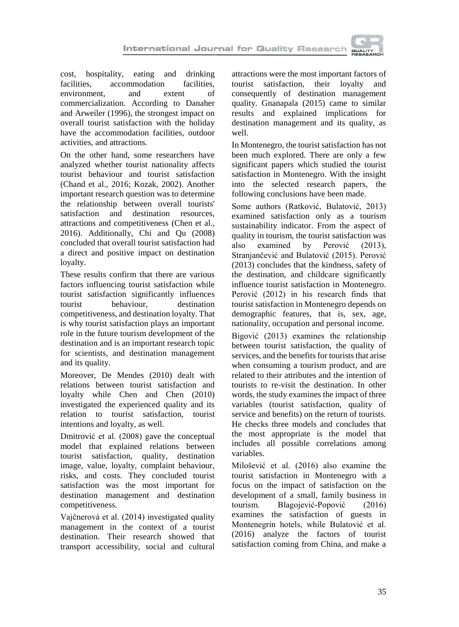

cost, hospitality, eating and drinking facilities, accommodation facilities, environment, and extent of commercialization. According to Danaher and Arweiler (1996), the strongest impact on overall tourist satisfaction with the holiday have the accommodation facilities, outdoor activities, and attractions.

On the other hand, some researchers have analyzed whether tourist nationality affects tourist behaviour and tourist satisfaction (Chand et al., 2016; Kozak, 2002). Another important research question was to determine the relationship between overall tourists' satisfaction and destination resources, attractions and competitiveness (Chen et al., 2016). Additionally, Chi and Qu (2008) concluded that overall tourist satisfaction had a direct and positive impact on destination loyalty.

These results confirm that there are various factors influencing tourist satisfaction while tourist satisfaction significantly influences tourist behaviour, destination competitiveness, and destination loyalty. That is why tourist satisfaction plays an important role in the future tourism development of the destination and is an important research topic for scientists, and destination management and its quality.

Moreover, De Mendes (2010) dealt with relations between tourist satisfaction and loyalty while Chen and Chen (2010) investigated the experienced quality and its relation to tourist satisfaction, tourist intentions and loyalty, as well.

Dmitrović et al. (2008) gave the conceptual model that explained relations between tourist satisfaction, quality, destination image, value, loyalty, complaint behaviour, risks, and costs. They concluded tourist satisfaction was the most important for destination management and destination competitiveness.

Vajčnerová et al. (2014) investigated quality management in the context of a tourist destination. Their research showed that transport accessibility, social and cultural

attractions were the most important factors of tourist satisfaction, their loyalty and consequently of destination management quality. Gnanapala (2015) came to similar results and explained implications for destination management and its quality, as well.

In Montenegro, the tourist satisfaction has not been much explored. There are only a few significant papers which studied the tourist satisfaction in Montenegro. With the insight into the selected research papers, the following conclusions have been made.

Some authors (Ratković, Bulatović, 2013) examined satisfaction only as a tourism sustainability indicator. From the aspect of quality in tourism, the tourist satisfaction was also examined by Perović (2013), Stranjančević and Bulatović (2015). Perović (2013) concludes that the kindness, safety of the destination, and childcare significantly influence tourist satisfaction in Montenegro. Perović (2012) in his research finds that tourist satisfaction in Montenegro depends on demographic features, that is, sex, age, nationality, occupation and personal income.

Bigović (2013) examines the relationship between tourist satisfaction, the quality of services, and the benefits for tourists that arise when consuming a tourism product, and are related to their attributes and the intention of tourists to re-visit the destination. In other words, the study examines the impact of three variables (tourist satisfaction, quality of service and benefits) on the return of tourists. He checks three models and concludes that the most appropriate is the model that includes all possible correlations among variables.

Milošević et al. (2016) also examine the tourist satisfaction in Montenegro with a focus on the impact of satisfaction on the development of a small, family business in tourism. Blagojević-Popović (2016) examines the satisfaction of guests in Montenegrin hotels, while Bulatović et al. (2016) analyze the factors of tourist satisfaction coming from China, and make a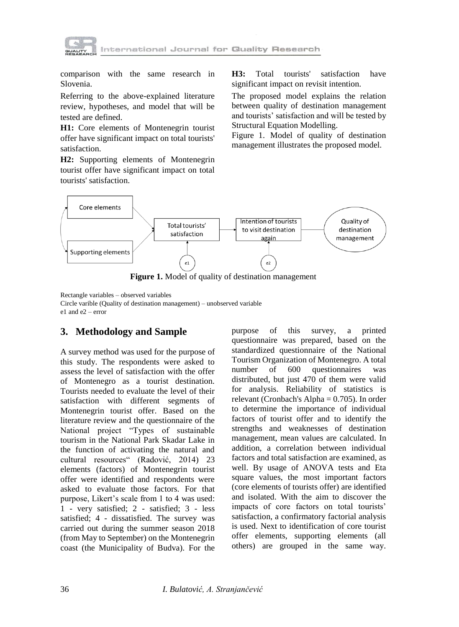

comparison with the same research in Slovenia.

Referring to the above-explained literature review, hypotheses, and model that will be tested are defined.

**H1:** Core elements of Montenegrin tourist offer have significant impact on total tourists' satisfaction.

**H2:** Supporting elements of Montenegrin tourist offer have significant impact on total tourists' satisfaction.

**H3:** Total tourists' satisfaction have significant impact on revisit intention.

The proposed model explains the relation between quality of destination management and tourists' satisfaction and will be tested by Structural Equation Modelling.

Figure 1. Model of quality of destination management illustrates the proposed model.



**Figure 1.** Model of quality of destination management

Rectangle variables – observed variables Circle varible (Quality of destination management) – unobserved variable

e1 and e2 – error

## **3. Methodology and Sample**

A survey method was used for the purpose of this study. The respondents were asked to assess the level of satisfaction with the offer of Montenegro as a tourist destination. Tourists needed to evaluate the level of their satisfaction with different segments of Montenegrin tourist offer. Based on the literature review and the questionnaire of the National project "Types of sustainable tourism in the National Park Skadar Lake in the function of activating the natural and cultural resources" (Radović, 2014) 23 elements (factors) of Montenegrin tourist offer were identified and respondents were asked to evaluate those factors. For that purpose, Likert's scale from 1 to 4 was used: 1 - very satisfied; 2 - satisfied; 3 - less satisfied; 4 - dissatisfied. The survey was carried out during the summer season 2018 (from May to September) on the Montenegrin coast (the Municipality of Budva). For the

purpose of this survey, a printed questionnaire was prepared, based on the standardized questionnaire of the National Tourism Organization of Montenegro. A total number of 600 questionnaires was distributed, but just 470 of them were valid for analysis. Reliability of statistics is relevant (Cronbach's Alpha = 0.705). In order to determine the importance of individual factors of tourist offer and to identify the strengths and weaknesses of destination management, mean values are calculated. In addition, a correlation between individual factors and total satisfaction are examined, as well. By usage of ANOVA tests and Eta square values, the most important factors (core elements of tourists offer) are identified and isolated. With the aim to discover the impacts of core factors on total tourists' satisfaction, a confirmatory factorial analysis is used. Next to identification of core tourist offer elements, supporting elements (all others) are grouped in the same way.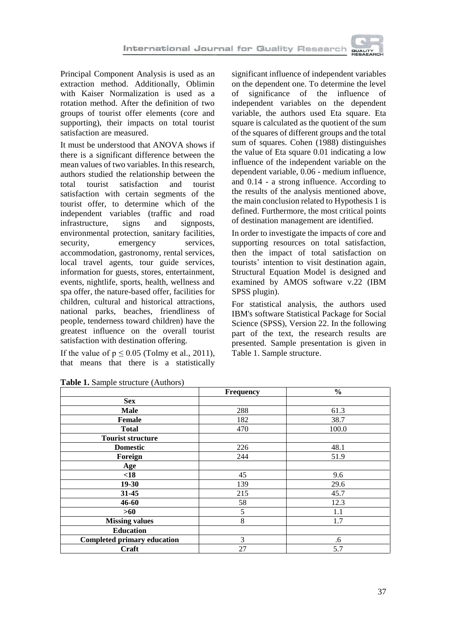

Principal Component Analysis is used as an extraction method. Additionally, Oblimin with Kaiser Normalization is used as a rotation method. After the definition of two groups of tourist offer elements (core and supporting), their impacts on total tourist satisfaction are measured.

It must be understood that ANOVA shows if there is a significant difference between the mean values of two variables. In this research, authors studied the relationship between the total tourist satisfaction and tourist satisfaction with certain segments of the tourist offer, to determine which of the independent variables (traffic and road infrastructure, signs and signposts, environmental protection, sanitary facilities, security, emergency services, accommodation, gastronomy, rental services, local travel agents, tour guide services, information for guests, stores, entertainment, events, nightlife, sports, health, wellness and spa offer, the nature-based offer, facilities for children, cultural and historical attractions, national parks, beaches, friendliness of people, tenderness toward children) have the greatest influence on the overall tourist satisfaction with destination offering.

If the value of  $p \le 0.05$  (Tolmy et al., 2011), that means that there is a statistically

significant influence of independent variables on the dependent one. To determine the level<br>of significance of the influence of significance of the influence of independent variables on the dependent variable, the authors used Eta square. Eta square is calculated as the quotient of the sum of the squares of different groups and the total sum of squares. Cohen (1988) distinguishes the value of Eta square 0.01 indicating a low influence of the independent variable on the dependent variable, 0.06 - medium influence, and 0.14 - a strong influence. According to the results of the analysis mentioned above, the main conclusion related to Hypothesis 1 is defined. Furthermore, the most critical points of destination management are identified.

In order to investigate the impacts of core and supporting resources on total satisfaction, then the impact of total satisfaction on tourists' intention to visit destination again, Structural Equation Model is designed and examined by AMOS software v.22 (IBM SPSS plugin).

For statistical analysis, the authors used IBM's software Statistical Package for Social Science (SPSS), Version 22. In the following part of the text, the research results are presented. Sample presentation is given in Table 1. Sample structure.

|                                    | Frequency | $\frac{0}{0}$ |
|------------------------------------|-----------|---------------|
| <b>Sex</b>                         |           |               |
| Male                               | 288       | 61.3          |
| Female                             | 182       | 38.7          |
| <b>Total</b>                       | 470       | 100.0         |
| <b>Tourist structure</b>           |           |               |
| <b>Domestic</b>                    | 226       | 48.1          |
| Foreign                            | 244       | 51.9          |
| Age                                |           |               |
| $18$                               | 45        | 9.6           |
| 19-30                              | 139       | 29.6          |
| 31-45                              | 215       | 45.7          |
| 46-60                              | 58        | 12.3          |
| $>60$                              | 5         | 1.1           |
| <b>Missing values</b>              | 8         | 1.7           |
| <b>Education</b>                   |           |               |
| <b>Completed primary education</b> | 3         | .6            |
| Craft                              | 27        | 5.7           |

**Table 1.** Sample structure (Authors)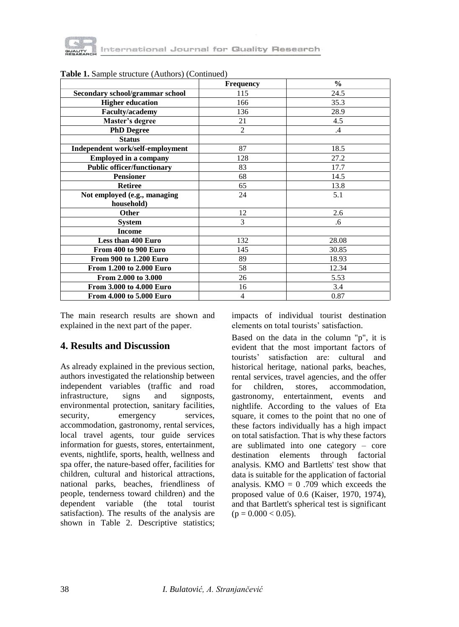

|                                   | <b>Frequency</b> | $\frac{0}{0}$ |
|-----------------------------------|------------------|---------------|
| Secondary school/grammar school   | 115              | 24.5          |
| <b>Higher education</b>           | 166              | 35.3          |
| Faculty/academy                   | 136              | 28.9          |
| Master's degree                   | 21               | 4.5           |
| <b>PhD Degree</b>                 | $\overline{2}$   | $\cdot$ 4     |
| <b>Status</b>                     |                  |               |
| Independent work/self-employment  | 87               | 18.5          |
| <b>Employed in a company</b>      | 128              | 27.2          |
| <b>Public officer/functionary</b> | 83               | 17.7          |
| <b>Pensioner</b>                  | 68               | 14.5          |
| <b>Retiree</b>                    | 65               | 13.8          |
| Not employed (e.g., managing      | 24               | 5.1           |
| household)                        |                  |               |
| Other                             | 12               | 2.6           |
| <b>System</b>                     | 3                | .6            |
| <b>Income</b>                     |                  |               |
| Less than 400 Euro                | 132              | 28.08         |
| From 400 to 900 Euro              | 145              | 30.85         |
| <b>From 900 to 1.200 Euro</b>     | 89               | 18.93         |
| From 1.200 to 2.000 Euro          | 58               | 12.34         |
| From 2.000 to 3.000               | 26               | 5.53          |
| From 3.000 to 4.000 Euro          | 16               | 3.4           |
| From 4.000 to 5.000 Euro          | $\overline{4}$   | 0.87          |

**Table 1.** Sample structure (Authors) (Continued)

The main research results are shown and explained in the next part of the paper.

### **4. Results and Discussion**

As already explained in the previous section, authors investigated the relationship between independent variables (traffic and road infrastructure, signs and signposts, environmental protection, sanitary facilities, security, emergency services, accommodation, gastronomy, rental services, local travel agents, tour guide services information for guests, stores, entertainment, events, nightlife, sports, health, wellness and spa offer, the nature-based offer, facilities for children, cultural and historical attractions, national parks, beaches, friendliness of people, tenderness toward children) and the dependent variable (the total tourist satisfaction). The results of the analysis are shown in Table 2. Descriptive statistics; impacts of individual tourist destination elements on total tourists' satisfaction.

Based on the data in the column "p", it is evident that the most important factors of tourists' satisfaction are: cultural and historical heritage, national parks, beaches, rental services, travel agencies, and the offer for children, stores, accommodation, gastronomy, entertainment, events and nightlife. According to the values of Eta square, it comes to the point that no one of these factors individually has a high impact on total satisfaction. That is why these factors are sublimated into one category – core destination elements through factorial analysis. KMO and Bartletts' test show that data is suitable for the application of factorial analysis. KMO =  $0.709$  which exceeds the proposed value of 0.6 (Kaiser, 1970, 1974), and that Bartlett's spherical test is significant  $(p = 0.000 < 0.05)$ .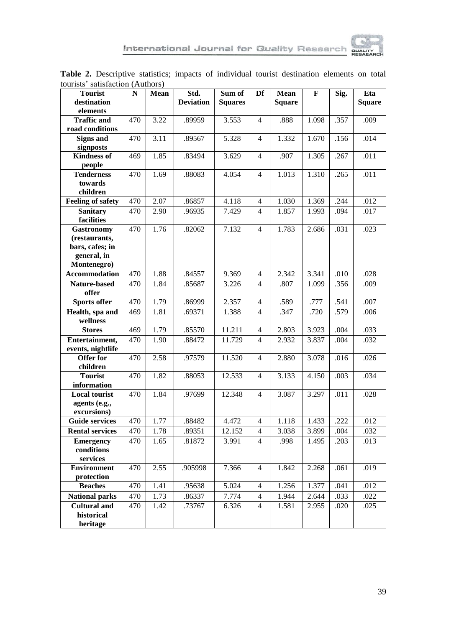

| wurisis sausiaction (Authors)<br><b>Tourist</b> | $\mathbf N$      | Mean | Std.             | Sum of              | Df                       | Mean          | $\mathbf F$ | Sig. | Eta           |
|-------------------------------------------------|------------------|------|------------------|---------------------|--------------------------|---------------|-------------|------|---------------|
| destination                                     |                  |      | <b>Deviation</b> | <b>Squares</b>      |                          | <b>Square</b> |             |      | <b>Square</b> |
| elements                                        |                  |      |                  |                     |                          |               |             |      |               |
| <b>Traffic and</b><br>road conditions           | 470              | 3.22 | .89959           | 3.553               | $\overline{4}$           | .888          | 1.098       | .357 | .009          |
| <b>Signs and</b>                                | 470              | 3.11 | .89567           | 5.328               | $\overline{4}$           | 1.332         | 1.670       | .156 | .014          |
| signposts                                       |                  |      |                  |                     |                          |               |             |      |               |
| <b>Kindness of</b>                              | 469              | 1.85 | .83494           | 3.629               | $\overline{4}$           | .907          | 1.305       | .267 | .011          |
| people                                          |                  |      |                  |                     |                          |               |             |      |               |
| <b>Tenderness</b>                               | 470              | 1.69 | .88083           | 4.054               | $\overline{4}$           | 1.013         | 1.310       | .265 | .011          |
| towards                                         |                  |      |                  |                     |                          |               |             |      |               |
| children                                        |                  |      |                  |                     |                          |               |             |      |               |
| <b>Feeling of safety</b>                        | 470              | 2.07 | .86857           | 4.118               | $\overline{4}$           | 1.030         | 1.369       | .244 | .012          |
| <b>Sanitary</b>                                 | 470              | 2.90 | .96935           | 7.429               | $\overline{4}$           | 1.857         | 1.993       | .094 | .017          |
| facilities                                      |                  |      |                  |                     |                          |               |             |      |               |
| <b>Gastronomy</b><br>(restaurants,              | 470              | 1.76 | .82062           | 7.132               | $\overline{4}$           | 1.783         | 2.686       | .031 | .023          |
| bars, cafes; in                                 |                  |      |                  |                     |                          |               |             |      |               |
| general, in                                     |                  |      |                  |                     |                          |               |             |      |               |
| Montenegro)                                     |                  |      |                  |                     |                          |               |             |      |               |
| Accommodation                                   | 470              | 1.88 | .84557           | 9.369               | $\overline{\mathcal{L}}$ | 2.342         | 3.341       | .010 | .028          |
| Nature-based                                    | 470              | 1.84 | .85687           | 3.226               | $\overline{4}$           | .807          | 1.099       | .356 | .009          |
| offer                                           |                  |      |                  |                     |                          |               |             |      |               |
| Sports offer                                    | 470              | 1.79 | .86999           | 2.357               | 4                        | .589          | .777        | .541 | .007          |
| Health, spa and                                 | 469              | 1.81 | .69371           | 1.388               | $\overline{4}$           | .347          | .720        | .579 | .006          |
| wellness                                        |                  |      |                  |                     |                          |               |             |      |               |
| <b>Stores</b>                                   | 469              | 1.79 | .85570           | 11.211              | $\overline{4}$           | 2.803         | 3.923       | .004 | .033          |
| Entertainment,                                  | 470              | 1.90 | .88472           | 11.729              | $\overline{4}$           | 2.932         | 3.837       | .004 | .032          |
| events, nightlife                               |                  |      |                  |                     |                          |               |             |      |               |
| <b>Offer for</b>                                | 470              | 2.58 | .97579           | 11.520              | $\overline{4}$           | 2.880         | 3.078       | .016 | .026          |
| children<br><b>Tourist</b>                      | $\overline{470}$ | 1.82 | .88053           | 12.533              | $\overline{4}$           | 3.133         | 4.150       | .003 | .034          |
| information                                     |                  |      |                  |                     |                          |               |             |      |               |
| <b>Local tourist</b>                            | 470              | 1.84 | .97699           | 12.348              | $\overline{4}$           | 3.087         | 3.297       | .011 | .028          |
| agents (e.g.,                                   |                  |      |                  |                     |                          |               |             |      |               |
| excursions)                                     |                  |      |                  |                     |                          |               |             |      |               |
| <b>Guide services</b>                           | 470              | 1.77 | .88482           | 4.472               | $\overline{4}$           | 1.118         | 1.433       | .222 | .012          |
| <b>Rental services</b>                          | 470              | 1.78 | .89351           | 12.152              | $\overline{4}$           | 3.038         | 3.899       | .004 | .032          |
| <b>Emergency</b>                                | 470              | 1.65 | .81872           | 3.991               | $\overline{4}$           | .998          | 1.495       | .203 | .013          |
| conditions                                      |                  |      |                  |                     |                          |               |             |      |               |
| services                                        |                  |      |                  |                     |                          |               |             |      |               |
| <b>Environment</b>                              | 470              | 2.55 | .905998          | 7.366               | $\overline{4}$           | 1.842         | 2.268       | .061 | .019          |
|                                                 |                  |      |                  |                     |                          |               |             |      |               |
| protection                                      |                  |      |                  |                     |                          |               |             |      |               |
| <b>Beaches</b>                                  | 470              | 1.41 | .95638           | 5.024               | $\overline{4}$           | 1.256         | 1.377       | .041 | .012          |
| <b>National parks</b>                           | $\overline{470}$ | 1.73 | .86337           | $\overline{7.77}$ 4 | $\overline{4}$           | 1.944         | 2.644       | .033 | .022          |
| <b>Cultural and</b><br>historical               | 470              | 1.42 | .73767           | 6.326               | $\overline{4}$           | 1.581         | 2.955       | .020 | .025          |

**Table 2.** Descriptive statistics; impacts of individual tourist destination elements on total tourists' satisfaction (Authors)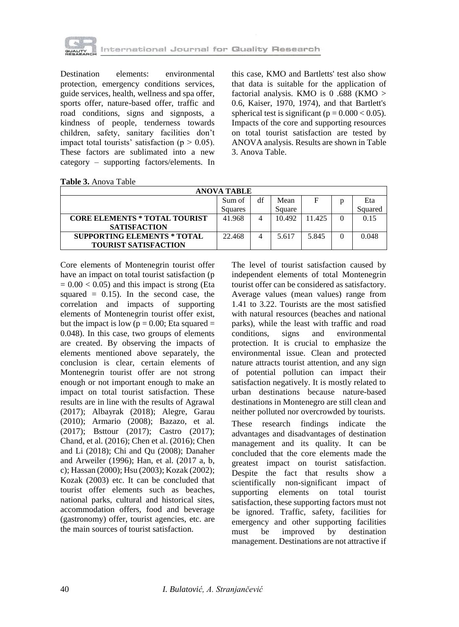

Destination elements: environmental protection, emergency conditions services, guide services, health, wellness and spa offer, sports offer, nature-based offer, traffic and road conditions, signs and signposts, a kindness of people, tenderness towards children, safety, sanitary facilities don't impact total tourists' satisfaction ( $p > 0.05$ ). These factors are sublimated into a new category – supporting factors/elements. In

this case, KMO and Bartletts' test also show that data is suitable for the application of factorial analysis. KMO is 0 .688 (KMO > 0.6, Kaiser, 1970, 1974), and that Bartlett's spherical test is significant ( $p = 0.000 < 0.05$ ). Impacts of the core and supporting resources on total tourist satisfaction are tested by ANOVA analysis. Results are shown in Table 3. Anova Table.

| <b>Table 3.</b> Anova Table |  |
|-----------------------------|--|
|-----------------------------|--|

| ANOVA TABLE                          |         |    |        |        |          |         |  |  |
|--------------------------------------|---------|----|--------|--------|----------|---------|--|--|
|                                      | Sum of  | df | Mean   | F      | D        | Eta     |  |  |
|                                      | Squares |    | Square |        |          | Squared |  |  |
| <b>CORE ELEMENTS * TOTAL TOURIST</b> | 41.968  |    | 10.492 | 11.425 | $\Omega$ | 0.15    |  |  |
| <b>SATISFACTION</b>                  |         |    |        |        |          |         |  |  |
| <b>SUPPORTING ELEMENTS * TOTAL</b>   | 22.468  | 4  | 5.617  | 5.845  | 0        | 0.048   |  |  |
| <b>TOURIST SATISFACTION</b>          |         |    |        |        |          |         |  |  |

Core elements of Montenegrin tourist offer have an impact on total tourist satisfaction (p  $= 0.00 < 0.05$ ) and this impact is strong (Eta squared  $= 0.15$ . In the second case, the correlation and impacts of supporting elements of Montenegrin tourist offer exist, but the impact is low ( $p = 0.00$ ; Eta squared = 0.048). In this case, two groups of elements are created. By observing the impacts of elements mentioned above separately, the conclusion is clear, certain elements of Montenegrin tourist offer are not strong enough or not important enough to make an impact on total tourist satisfaction. These results are in line with the results of Agrawal (2017); Albayrak (2018); Alegre, Garau (2010); Armario (2008); Bazazo, et al. (2017); Bsttour (2017); Castro (2017); Chand, et al. (2016); Chen et al. (2016); Chen and Li (2018); Chi and Qu (2008); Danaher and Arweiler (1996); Han, et al. (2017 a, b, c); Hassan (2000); Hsu (2003); Kozak (2002); Kozak (2003) etc. It can be concluded that tourist offer elements such as beaches, national parks, cultural and historical sites, accommodation offers, food and beverage (gastronomy) offer, tourist agencies, etc. are the main sources of tourist satisfaction.

The level of tourist satisfaction caused by independent elements of total Montenegrin tourist offer can be considered as satisfactory. Average values (mean values) range from 1.41 to 3.22. Tourists are the most satisfied with natural resources (beaches and national parks), while the least with traffic and road conditions, signs and environmental protection. It is crucial to emphasize the environmental issue. Clean and protected nature attracts tourist attention, and any sign of potential pollution can impact their satisfaction negatively. It is mostly related to urban destinations because nature-based destinations in Montenegro are still clean and neither polluted nor overcrowded by tourists.

These research findings indicate the advantages and disadvantages of destination management and its quality. It can be concluded that the core elements made the greatest impact on tourist satisfaction. Despite the fact that results show a scientifically non-significant impact of supporting elements on total tourist satisfaction, these supporting factors must not be ignored. Traffic, safety, facilities for emergency and other supporting facilities must be improved by destination management. Destinations are not attractive if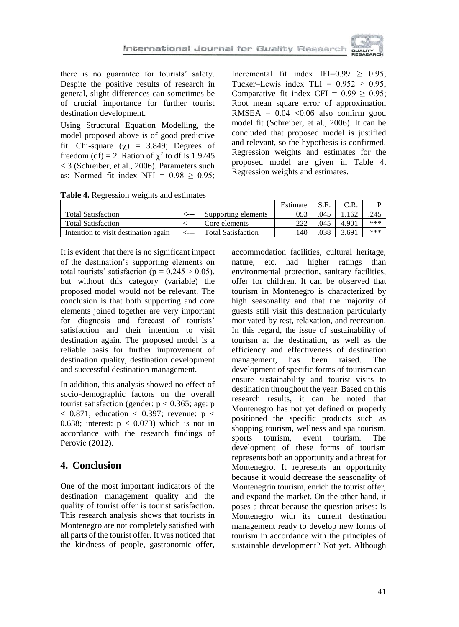there is no guarantee for tourists' safety. Despite the positive results of research in general, slight differences can sometimes be of crucial importance for further tourist destination development.

Using Structural Equation Modelling, the model proposed above is of good predictive fit. Chi-square  $(\chi)$  = 3.849; Degrees of freedom (df) = 2. Ration of  $\chi^2$  to df is 1.9245 < 3 (Schreiber, et al., 2006). Parameters such as: Normed fit index NFI =  $0.98 \ge 0.95$ ;

Incremental fit index IFI= $0.99 > 0.95$ ; Tucker–Lewis index TLI =  $0.952 \ge 0.95$ ; Comparative fit index CFI =  $0.99 \ge 0.95$ ; Root mean square error of approximation RMSEA =  $0.04$  <0.06 also confirm good model fit (Schreiber, et al., 2006). It can be concluded that proposed model is justified and relevant, so the hypothesis is confirmed. Regression weights and estimates for the proposed model are given in Table 4. Regression weights and estimates.

**Table 4.** Regression weights and estimates

|                                      |                           | Estimate |      |       |     |
|--------------------------------------|---------------------------|----------|------|-------|-----|
| <b>Total Satisfaction</b>            | Supporting elements       |          | .045 | .162  | 245 |
| <b>Total Satisfaction</b>            | Core elements             |          | .045 | 4.901 | *** |
| Intention to visit destination again | <b>Total Satisfaction</b> | 140      | .038 | 5.691 | *** |

It is evident that there is no significant impact of the destination's supporting elements on total tourists' satisfaction ( $p = 0.245 > 0.05$ ), but without this category (variable) the proposed model would not be relevant. The conclusion is that both supporting and core elements joined together are very important for diagnosis and forecast of tourists' satisfaction and their intention to visit destination again. The proposed model is a reliable basis for further improvement of destination quality, destination development and successful destination management.

In addition, this analysis showed no effect of socio-demographic factors on the overall tourist satisfaction (gender:  $p < 0.365$ ; age: p  $<$  0.871; education  $<$  0.397; revenue: p  $<$ 0.638; interest:  $p < 0.073$ ) which is not in accordance with the research findings of Perović (2012).

### **4. Conclusion**

One of the most important indicators of the destination management quality and the quality of tourist offer is tourist satisfaction. This research analysis shows that tourists in Montenegro are not completely satisfied with all parts of the tourist offer. It was noticed that the kindness of people, gastronomic offer,

accommodation facilities, cultural heritage, nature, etc. had higher ratings than environmental protection, sanitary facilities, offer for children. It can be observed that tourism in Montenegro is characterized by high seasonality and that the majority of guests still visit this destination particularly motivated by rest, relaxation, and recreation. In this regard, the issue of sustainability of tourism at the destination, as well as the efficiency and effectiveness of destination management, has been raised. The development of specific forms of tourism can ensure sustainability and tourist visits to destination throughout the year. Based on this research results, it can be noted that Montenegro has not yet defined or properly positioned the specific products such as shopping tourism, wellness and spa tourism, sports tourism, event tourism. The development of these forms of tourism represents both an opportunity and a threat for Montenegro. It represents an opportunity because it would decrease the seasonality of Montenegrin tourism, enrich the tourist offer, and expand the market. On the other hand, it poses a threat because the question arises: Is Montenegro with its current destination management ready to develop new forms of tourism in accordance with the principles of sustainable development? Not yet. Although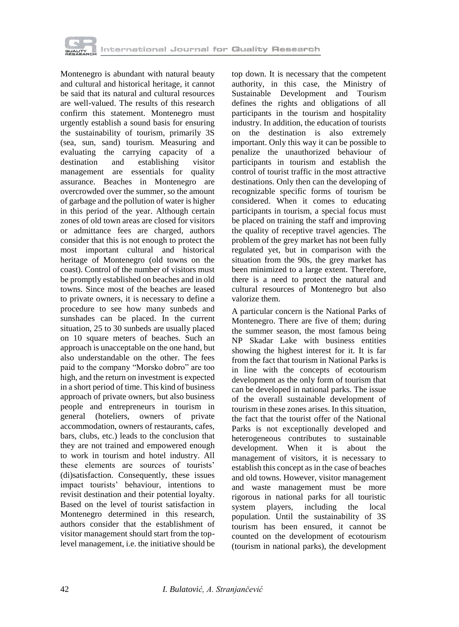

Montenegro is abundant with natural beauty and cultural and historical heritage, it cannot be said that its natural and cultural resources are well-valued. The results of this research confirm this statement. Montenegro must urgently establish a sound basis for ensuring the sustainability of tourism, primarily 3S (sea, sun, sand) tourism. Measuring and evaluating the carrying capacity of a destination and establishing visitor management are essentials for quality assurance. Beaches in Montenegro are overcrowded over the summer, so the amount of garbage and the pollution of water is higher in this period of the year. Although certain zones of old town areas are closed for visitors or admittance fees are charged, authors consider that this is not enough to protect the most important cultural and historical heritage of Montenegro (old towns on the coast). Control of the number of visitors must be promptly established on beaches and in old towns. Since most of the beaches are leased to private owners, it is necessary to define a procedure to see how many sunbeds and sunshades can be placed. In the current situation, 25 to 30 sunbeds are usually placed on 10 square meters of beaches. Such an approach is unacceptable on the one hand, but also understandable on the other. The fees paid to the company "Morsko dobro" are too high, and the return on investment is expected in a short period of time. This kind of business approach of private owners, but also business people and entrepreneurs in tourism in general (hoteliers, owners of private accommodation, owners of restaurants, cafes, bars, clubs, etc.) leads to the conclusion that they are not trained and empowered enough to work in tourism and hotel industry. All these elements are sources of tourists' (di)satisfaction. Consequently, these issues impact tourists' behaviour, intentions to revisit destination and their potential loyalty. Based on the level of tourist satisfaction in Montenegro determined in this research, authors consider that the establishment of visitor management should start from the toplevel management, i.e. the initiative should be

top down. It is necessary that the competent authority, in this case, the Ministry of Sustainable Development and Tourism defines the rights and obligations of all participants in the tourism and hospitality industry. In addition, the education of tourists on the destination is also extremely important. Only this way it can be possible to penalize the unauthorized behaviour of participants in tourism and establish the control of tourist traffic in the most attractive destinations. Only then can the developing of recognizable specific forms of tourism be considered. When it comes to educating participants in tourism, a special focus must be placed on training the staff and improving the quality of receptive travel agencies. The problem of the grey market has not been fully regulated yet, but in comparison with the situation from the 90s, the grey market has been minimized to a large extent. Therefore, there is a need to protect the natural and cultural resources of Montenegro but also valorize them.

A particular concern is the National Parks of Montenegro. There are five of them; during the summer season, the most famous being NP Skadar Lake with business entities showing the highest interest for it. It is far from the fact that tourism in National Parks is in line with the concepts of ecotourism development as the only form of tourism that can be developed in national parks. The issue of the overall sustainable development of tourism in these zones arises. In this situation, the fact that the tourist offer of the National Parks is not exceptionally developed and heterogeneous contributes to sustainable development. When it is about the management of visitors, it is necessary to establish this concept as in the case of beaches and old towns. However, visitor management and waste management must be more rigorous in national parks for all touristic system players, including the local population. Until the sustainability of 3S tourism has been ensured, it cannot be counted on the development of ecotourism (tourism in national parks), the development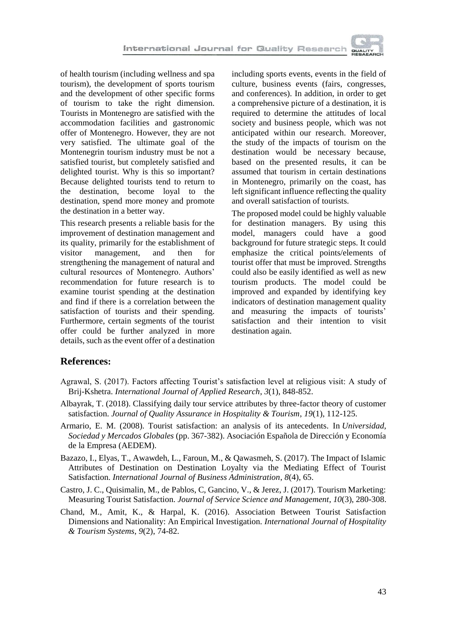

of health tourism (including wellness and spa tourism), the development of sports tourism and the development of other specific forms of tourism to take the right dimension. Tourists in Montenegro are satisfied with the accommodation facilities and gastronomic offer of Montenegro. However, they are not very satisfied. The ultimate goal of the Montenegrin tourism industry must be not a satisfied tourist, but completely satisfied and delighted tourist. Why is this so important? Because delighted tourists tend to return to the destination, become loyal to the destination, spend more money and promote the destination in a better way.

This research presents a reliable basis for the improvement of destination management and its quality, primarily for the establishment of visitor management, and then for strengthening the management of natural and cultural resources of Montenegro. Authors' recommendation for future research is to examine tourist spending at the destination and find if there is a correlation between the satisfaction of tourists and their spending. Furthermore, certain segments of the tourist offer could be further analyzed in more details, such as the event offer of a destination

including sports events, events in the field of culture, business events (fairs, congresses, and conferences). In addition, in order to get a comprehensive picture of a destination, it is required to determine the attitudes of local society and business people, which was not anticipated within our research. Moreover, the study of the impacts of tourism on the destination would be necessary because, based on the presented results, it can be assumed that tourism in certain destinations in Montenegro, primarily on the coast, has left significant influence reflecting the quality and overall satisfaction of tourists.

The proposed model could be highly valuable for destination managers. By using this model, managers could have a good background for future strategic steps. It could emphasize the critical points/elements of tourist offer that must be improved. Strengths could also be easily identified as well as new tourism products. The model could be improved and expanded by identifying key indicators of destination management quality and measuring the impacts of tourists' satisfaction and their intention to visit destination again.

#### **References:**

- Agrawal, S. (2017). Factors affecting Tourist's satisfaction level at religious visit: A study of Brij-Kshetra. *International Journal of Applied Research*, *3*(1), 848-852.
- Albayrak, T. (2018). Classifying daily tour service attributes by three-factor theory of customer satisfaction. *Journal of Quality Assurance in Hospitality & Tourism*, *19*(1), 112-125.
- Armario, E. M. (2008). Tourist satisfaction: an analysis of its antecedents. In *Universidad, Sociedad y Mercados Globales* (pp. 367-382). Asociación Española de Dirección y Economía de la Empresa (AEDEM).
- Bazazo, I., Elyas, T., Awawdeh, L., Faroun, M., & Qawasmeh, S. (2017). The Impact of Islamic Attributes of Destination on Destination Loyalty via the Mediating Effect of Tourist Satisfaction. *International Journal of Business Administration*, *8*(4), 65.
- Castro, J. C., Quisimalin, M., de Pablos, C, Gancino, V., & Jerez, J. (2017). Tourism Marketing: Measuring Tourist Satisfaction. *Journal of Service Science and Management*, *10*(3), 280-308.
- Chand, M., Amit, K., & Harpal, K. (2016). Association Between Tourist Satisfaction Dimensions and Nationality: An Empirical Investigation. *International Journal of Hospitality & Tourism Systems*, *9*(2), 74-82.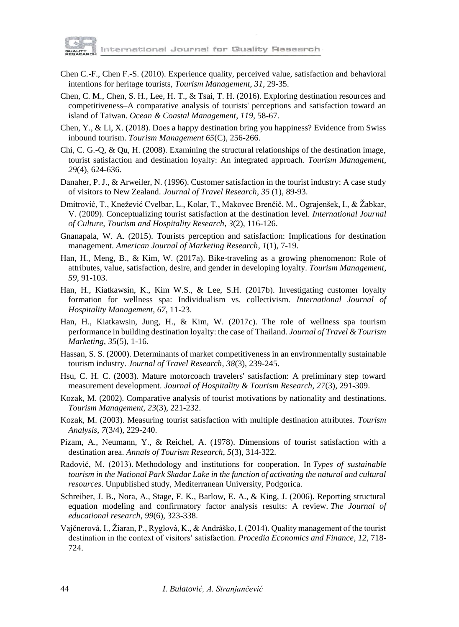

- Chen C.-F., Chen F.-S. (2010). Experience quality, perceived value, satisfaction and behavioral intentions for heritage tourists, *Tourism Management*, *31*, 29-35.
- Chen, C. M., Chen, S. H., Lee, H. T., & Tsai, T. H. (2016). Exploring destination resources and competitiveness–A comparative analysis of tourists' perceptions and satisfaction toward an island of Taiwan. *Ocean & Coastal Management*, *119*, 58-67.
- Chen, Y., & Li, X. (2018). Does a happy destination bring you happiness? Evidence from Swiss inbound tourism. *Tourism Management 65*(C), 256-266.
- Chi, C. G.-Q, & Qu, H. (2008). Examining the structural relationships of the destination image, tourist satisfaction and destination loyalty: An integrated approach. *Tourism Management*, *29*(4), 624-636.
- Danaher, P. J., & Arweiler, N. (1996). Customer satisfaction in the tourist industry: A case study of visitors to New Zealand. *Journal of Travel Research*, *35* (1), 89-93.
- Dmitrović, T., Knežević Cvelbar, L., Kolar, T., Makovec Brenčič, M., Ograjenšek, I., & Žabkar, V. (2009). Conceptualizing tourist satisfaction at the destination level. *International Journal of Culture, Tourism and Hospitality Research*, *3*(2), 116-126.
- Gnanapala, W. A. (2015). Tourists perception and satisfaction: Implications for destination management. *American Journal of Marketing Research*, *1*(1), 7-19.
- Han, H., Meng, B., & Kim, W. (2017a). Bike-traveling as a growing phenomenon: Role of attributes, value, satisfaction, desire, and gender in developing loyalty. *Tourism Management*, *59*, 91-103.
- Han, H., Kiatkawsin, K., Kim W.S., & Lee, S.H. (2017b). Investigating customer loyalty formation for wellness spa: Individualism vs. collectivism. *International Journal of Hospitality Management*, *67*, 11-23.
- Han, H., Kiatkawsin, Jung, H., & Kim, W. (2017c). The role of wellness spa tourism performance in building destination loyalty: the case of Thailand. *Journal of Travel & Tourism Marketing*, *35*(5), 1-16.
- Hassan, S. S. (2000). Determinants of market competitiveness in an environmentally sustainable tourism industry. *Journal of Travel Research*, *38*(3), 239-245.
- Hsu, C. H. C. (2003). Mature motorcoach travelers' satisfaction: A preliminary step toward measurement development. *Journal of Hospitality & Tourism Research, 27*(3), 291-309.
- Kozak, M. (2002). Comparative analysis of tourist motivations by nationality and destinations. *Tourism Management*, *23*(3), 221-232.
- Kozak, M. (2003). Measuring tourist satisfaction with multiple destination attributes. *Tourism Analysis*, *7*(3/4), 229-240.
- Pizam, A., Neumann, Y., & Reichel, A. (1978). Dimensions of tourist satisfaction with a destination area. *Annals of Tourism Research*, *5*(3), 314-322.
- Radović, M. (2013). Methodology and institutions for cooperation. In *Types of sustainable tourism in the National Park Skadar Lake in the function of activating the natural and cultural resources*. Unpublished study, Mediterranean University, Podgorica.
- Schreiber, J. B., Nora, A., Stage, F. K., Barlow, E. A., & King, J. (2006). Reporting structural equation modeling and confirmatory factor analysis results: A review. *The Journal of educational research*, *99*(6), 323-338.
- Vajčnerová, I., Žiaran, P., Ryglová, K., & Andráško, I. (2014). Quality management of the tourist destination in the context of visitors' satisfaction. *Procedia Economics and Finance*, *12*, 718- 724.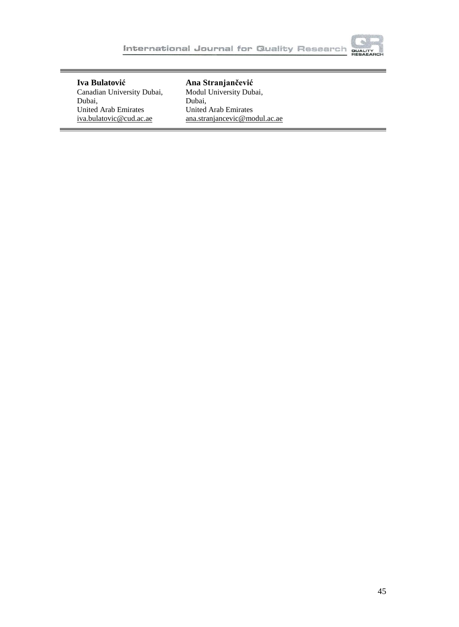

**Iva Bulatović** Canadian University Dubai, Dubai, United Arab Emirates iva.bulatovic@cud.ac.ae

**Ana Stranjančević** Modul University Dubai, Dubai, United Arab Emirates [ana.stranjancevic@modul.ac.ae](mailto:ana.stranjancevic@modul.ac.ae)